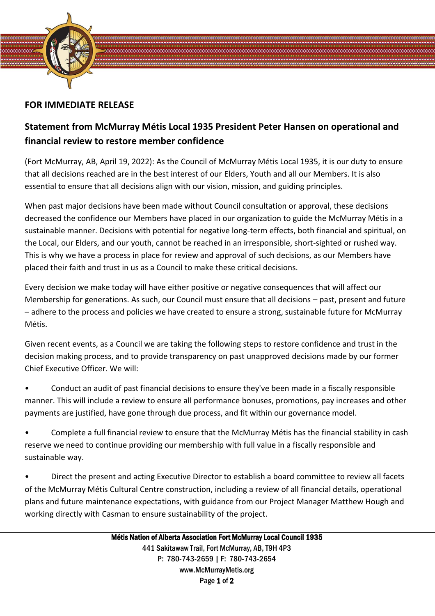

## **FOR IMMEDIATE RELEASE**

## **Statement from McMurray Métis Local 1935 President Peter Hansen on operational and financial review to restore member confidence**

(Fort McMurray, AB, April 19, 2022): As the Council of McMurray Métis Local 1935, it is our duty to ensure that all decisions reached are in the best interest of our Elders, Youth and all our Members. It is also essential to ensure that all decisions align with our vision, mission, and guiding principles.

When past major decisions have been made without Council consultation or approval, these decisions decreased the confidence our Members have placed in our organization to guide the McMurray Métis in a sustainable manner. Decisions with potential for negative long-term effects, both financial and spiritual, on the Local, our Elders, and our youth, cannot be reached in an irresponsible, short-sighted or rushed way. This is why we have a process in place for review and approval of such decisions, as our Members have placed their faith and trust in us as a Council to make these critical decisions.

Every decision we make today will have either positive or negative consequences that will affect our Membership for generations. As such, our Council must ensure that all decisions – past, present and future – adhere to the process and policies we have created to ensure a strong, sustainable future for McMurray Métis.

Given recent events, as a Council we are taking the following steps to restore confidence and trust in the decision making process, and to provide transparency on past unapproved decisions made by our former Chief Executive Officer. We will:

• Conduct an audit of past financial decisions to ensure they've been made in a fiscally responsible manner. This will include a review to ensure all performance bonuses, promotions, pay increases and other payments are justified, have gone through due process, and fit within our governance model.

• Complete a full financial review to ensure that the McMurray Métis has the financial stability in cash reserve we need to continue providing our membership with full value in a fiscally responsible and sustainable way.

• Direct the present and acting Executive Director to establish a board committee to review all facets of the McMurray Métis Cultural Centre construction, including a review of all financial details, operational plans and future maintenance expectations, with guidance from our Project Manager Matthew Hough and working directly with Casman to ensure sustainability of the project.